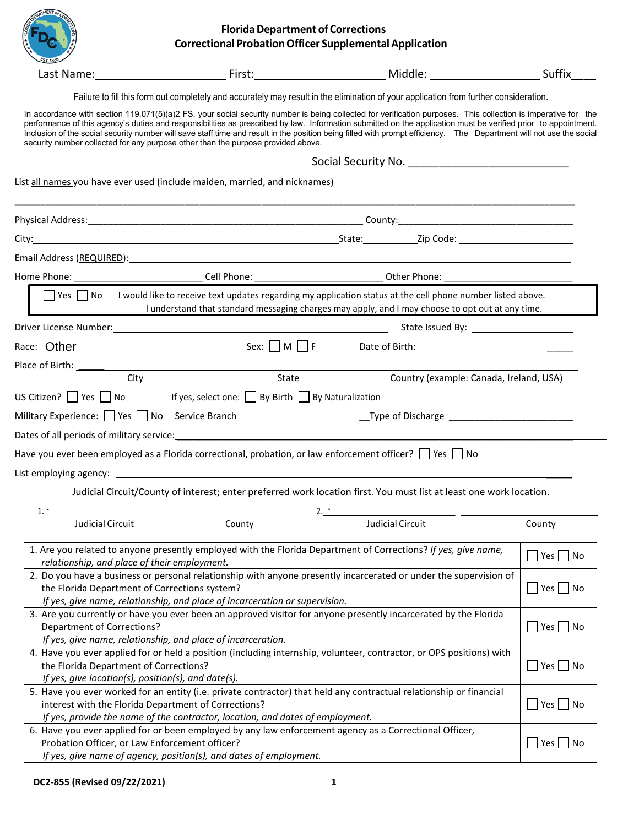|                                                                                               | <b>Florida Department of Corrections</b><br><b>Correctional Probation Officer Supplemental Application</b>                                                                                                                    |                                                                                                                                                                                                                                                                                                                                                                                                                                                                                                        |                        |
|-----------------------------------------------------------------------------------------------|-------------------------------------------------------------------------------------------------------------------------------------------------------------------------------------------------------------------------------|--------------------------------------------------------------------------------------------------------------------------------------------------------------------------------------------------------------------------------------------------------------------------------------------------------------------------------------------------------------------------------------------------------------------------------------------------------------------------------------------------------|------------------------|
|                                                                                               |                                                                                                                                                                                                                               | Last Name: Suffix Surface Contract Contract Contract Contract Contract Contract Contract Contract Contract Contract Contract Contract Contract Contract Contract Contract Contract Contract Contract Contract Contract Contrac                                                                                                                                                                                                                                                                         |                        |
|                                                                                               |                                                                                                                                                                                                                               | Failure to fill this form out completely and accurately may result in the elimination of your application from further consideration.                                                                                                                                                                                                                                                                                                                                                                  |                        |
|                                                                                               | security number collected for any purpose other than the purpose provided above.                                                                                                                                              | In accordance with section 119.071(5)(a)2 FS, your social security number is being collected for verification purposes. This collection is imperative for the<br>performance of this agency's duties and responsibilities as prescribed by law. Information submitted on the application must be verified prior to appointment.<br>Inclusion of the social security number will save staff time and result in the position being filled with prompt efficiency. The Department will not use the social |                        |
|                                                                                               |                                                                                                                                                                                                                               |                                                                                                                                                                                                                                                                                                                                                                                                                                                                                                        |                        |
|                                                                                               | List all names you have ever used (include maiden, married, and nicknames)                                                                                                                                                    |                                                                                                                                                                                                                                                                                                                                                                                                                                                                                                        |                        |
|                                                                                               |                                                                                                                                                                                                                               |                                                                                                                                                                                                                                                                                                                                                                                                                                                                                                        |                        |
|                                                                                               |                                                                                                                                                                                                                               | City: 2ip Code: 21 2ip Code: 21 2ip Code: 21 2ip Code: 21 2ip Code: 21 2ip Code: 21 2ip Code: 21 2ip Code: 21 2ip Code: 21 2ip Code: 21 2ip Code: 21 2ip Code: 21 2ip Code: 21 2ip Code: 21 2ip Code: 21 2ip Code: 21 2ip Code                                                                                                                                                                                                                                                                         |                        |
|                                                                                               | Email Address (REQUIRED): Note that the state of the state of the state of the state of the state of the state of the state of the state of the state of the state of the state of the state of the state of the state of the |                                                                                                                                                                                                                                                                                                                                                                                                                                                                                                        |                        |
|                                                                                               |                                                                                                                                                                                                                               |                                                                                                                                                                                                                                                                                                                                                                                                                                                                                                        |                        |
|                                                                                               |                                                                                                                                                                                                                               | $\Box$ Yes $\Box$ No I would like to receive text updates regarding my application status at the cell phone number listed above.<br>I understand that standard messaging charges may apply, and I may choose to opt out at any time.                                                                                                                                                                                                                                                                   |                        |
|                                                                                               |                                                                                                                                                                                                                               |                                                                                                                                                                                                                                                                                                                                                                                                                                                                                                        |                        |
| Race: Other                                                                                   | Sex: $\Box$ M $\Box$ F                                                                                                                                                                                                        |                                                                                                                                                                                                                                                                                                                                                                                                                                                                                                        |                        |
| Place of Birth: ______________                                                                |                                                                                                                                                                                                                               |                                                                                                                                                                                                                                                                                                                                                                                                                                                                                                        |                        |
| City                                                                                          | State                                                                                                                                                                                                                         | Country (example: Canada, Ireland, USA)                                                                                                                                                                                                                                                                                                                                                                                                                                                                |                        |
|                                                                                               | US Citizen? $\Box$ Yes $\Box$ No If yes, select one: $\Box$ By Birth $\Box$ By Naturalization                                                                                                                                 |                                                                                                                                                                                                                                                                                                                                                                                                                                                                                                        |                        |
|                                                                                               |                                                                                                                                                                                                                               | Military Experience: Sale of Piese Stand Branch Control Control Control Control Control of Discharge Control Control Control Control Control Control Control Control Control Control Control Control Control Control Control C                                                                                                                                                                                                                                                                         |                        |
|                                                                                               |                                                                                                                                                                                                                               |                                                                                                                                                                                                                                                                                                                                                                                                                                                                                                        |                        |
|                                                                                               | Have you ever been employed as a Florida correctional, probation, or law enforcement officer? $\Box$ Yes $\Box$ No                                                                                                            |                                                                                                                                                                                                                                                                                                                                                                                                                                                                                                        |                        |
| List employing agency:                                                                        |                                                                                                                                                                                                                               |                                                                                                                                                                                                                                                                                                                                                                                                                                                                                                        |                        |
|                                                                                               |                                                                                                                                                                                                                               | Judicial Circuit/County of interest; enter preferred work location first. You must list at least one work location.                                                                                                                                                                                                                                                                                                                                                                                    |                        |
| 1.                                                                                            | 2.                                                                                                                                                                                                                            |                                                                                                                                                                                                                                                                                                                                                                                                                                                                                                        |                        |
| Judicial Circuit                                                                              | County                                                                                                                                                                                                                        | <b>Judicial Circuit</b>                                                                                                                                                                                                                                                                                                                                                                                                                                                                                | County                 |
| relationship, and place of their employment.                                                  | 1. Are you related to anyone presently employed with the Florida Department of Corrections? If yes, give name,                                                                                                                |                                                                                                                                                                                                                                                                                                                                                                                                                                                                                                        | $\Box$ Yes $\Box$ No   |
| the Florida Department of Corrections system?                                                 | 2. Do you have a business or personal relationship with anyone presently incarcerated or under the supervision of                                                                                                             |                                                                                                                                                                                                                                                                                                                                                                                                                                                                                                        | $\Box$ Yes $\Box$ No   |
| <b>Department of Corrections?</b>                                                             | If yes, give name, relationship, and place of incarceration or supervision.<br>3. Are you currently or have you ever been an approved visitor for anyone presently incarcerated by the Florida                                |                                                                                                                                                                                                                                                                                                                                                                                                                                                                                                        | $\vert$ Yes $\vert$ No |
|                                                                                               | If yes, give name, relationship, and place of incarceration.                                                                                                                                                                  |                                                                                                                                                                                                                                                                                                                                                                                                                                                                                                        |                        |
| the Florida Department of Corrections?<br>If yes, give location(s), position(s), and date(s). | 4. Have you ever applied for or held a position (including internship, volunteer, contractor, or OPS positions) with                                                                                                          |                                                                                                                                                                                                                                                                                                                                                                                                                                                                                                        | │Yes │ │No             |
|                                                                                               | 5. Have you ever worked for an entity (i.e. private contractor) that held any contractual relationship or financial<br>interest with the Florida Department of Corrections?                                                   |                                                                                                                                                                                                                                                                                                                                                                                                                                                                                                        | $\vert$ Yes $\vert$ No |
| Probation Officer, or Law Enforcement officer?                                                | If yes, provide the name of the contractor, location, and dates of employment.<br>6. Have you ever applied for or been employed by any law enforcement agency as a Correctional Officer,                                      |                                                                                                                                                                                                                                                                                                                                                                                                                                                                                                        | Yes     No             |
|                                                                                               | If yes, give name of agency, position(s), and dates of employment.                                                                                                                                                            |                                                                                                                                                                                                                                                                                                                                                                                                                                                                                                        |                        |